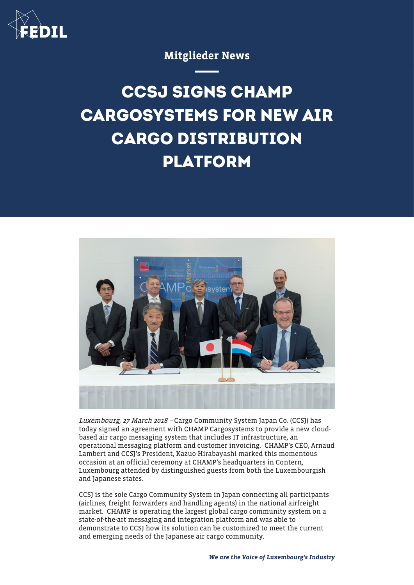

Mitglieder News

**CCSJ SIGNS CHAMP CARGOSYSTEMS FOR NEW AIR CARGO DISTRIBUTION PLATFORM**



Luxembourg, 27 March 2018 - Cargo Community System Japan Co. (CCSJ) has today signed an agreement with CHAMP Cargosystems to provide a new cloudbased air cargo messaging system that includes IT infrastructure, an operational messaging platform and customer invoicing. CHAMP's CEO, Arnaud Lambert and CCSJ's President, Kazuo Hirabayashi marked this momentous occasion at an official ceremony at CHAMP's headquarters in Contern, Luxembourg attended by distinguished guests from both the Luxembourgish and Japanese states.

CCSJ is the sole Cargo Community System in Japan connecting all participants (airlines, freight forwarders and handling agents) in the national airfreight market. CHAMP is operating the largest global cargo community system on a state-of-the-art messaging and integration platform and was able to demonstrate to CCSJ how its solution can be customized to meet the current and emerging needs of the Japanese air cargo community.